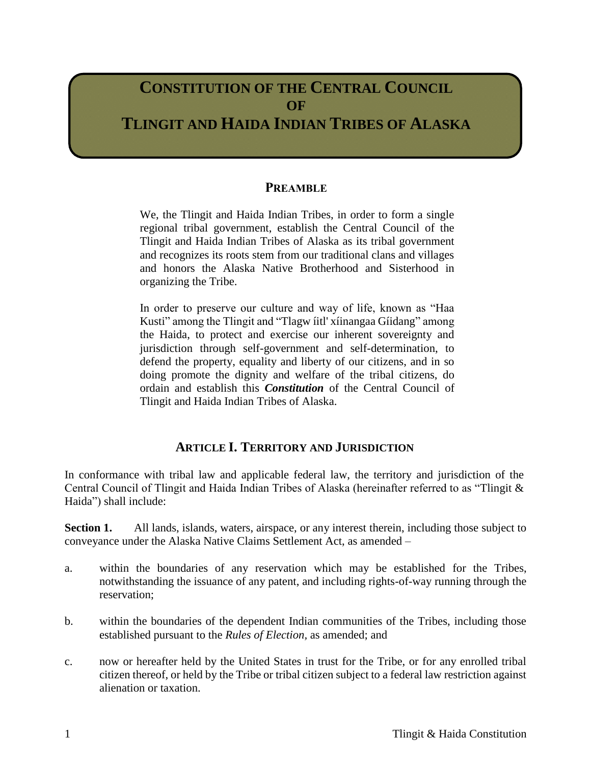# **CONSTITUTION OF THE CENTRAL COUNCIL OF TLINGIT AND HAIDA INDIAN TRIBES OF ALASKA**

### **PREAMBLE**

We, the Tlingit and Haida Indian Tribes, in order to form a single regional tribal government, establish the Central Council of the Tlingit and Haida Indian Tribes of Alaska as its tribal government and recognizes its roots stem from our traditional clans and villages and honors the Alaska Native Brotherhood and Sisterhood in organizing the Tribe.

In order to preserve our culture and way of life, known as "Haa Kusti" among the Tlingit and "Tlagw íitl' xíinangaa Gíidang" among the Haida, to protect and exercise our inherent sovereignty and jurisdiction through self-government and self-determination, to defend the property, equality and liberty of our citizens, and in so doing promote the dignity and welfare of the tribal citizens, do ordain and establish this *Constitution* of the Central Council of Tlingit and Haida Indian Tribes of Alaska.

### **ARTICLE I. TERRITORY AND JURISDICTION**

In conformance with tribal law and applicable federal law, the territory and jurisdiction of the Central Council of Tlingit and Haida Indian Tribes of Alaska (hereinafter referred to as "Tlingit & Haida") shall include:

**Section 1.** All lands, islands, waters, airspace, or any interest therein, including those subject to conveyance under the Alaska Native Claims Settlement Act, as amended –

- a. within the boundaries of any reservation which may be established for the Tribes, notwithstanding the issuance of any patent, and including rights-of-way running through the reservation;
- b. within the boundaries of the dependent Indian communities of the Tribes, including those established pursuant to the *Rules of Election,* as amended; and
- c. now or hereafter held by the United States in trust for the Tribe, or for any enrolled tribal citizen thereof, or held by the Tribe or tribal citizen subject to a federal law restriction against alienation or taxation.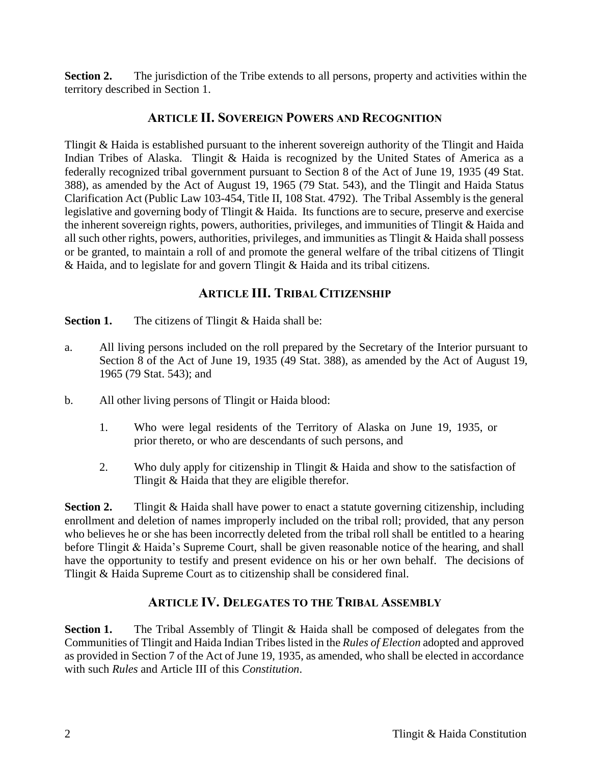**Section 2.** The jurisdiction of the Tribe extends to all persons, property and activities within the territory described in Section 1.

### **ARTICLE II. SOVEREIGN POWERS AND RECOGNITION**

Tlingit & Haida is established pursuant to the inherent sovereign authority of the Tlingit and Haida Indian Tribes of Alaska. Tlingit & Haida is recognized by the United States of America as a federally recognized tribal government pursuant to Section 8 of the Act of June 19, 1935 (49 Stat. 388), as amended by the Act of August 19, 1965 (79 Stat. 543), and the Tlingit and Haida Status Clarification Act (Public Law 103-454, Title II, 108 Stat. 4792). The Tribal Assembly is the general legislative and governing body of Tlingit & Haida. Its functions are to secure, preserve and exercise the inherent sovereign rights, powers, authorities, privileges, and immunities of Tlingit & Haida and all such other rights, powers, authorities, privileges, and immunities as Tlingit & Haida shall possess or be granted, to maintain a roll of and promote the general welfare of the tribal citizens of Tlingit & Haida, and to legislate for and govern Tlingit & Haida and its tribal citizens.

# **ARTICLE III. TRIBAL CITIZENSHIP**

**Section 1.** The citizens of Tlingit & Haida shall be:

- a. All living persons included on the roll prepared by the Secretary of the Interior pursuant to Section 8 of the Act of June 19, 1935 (49 Stat. 388), as amended by the Act of August 19, 1965 (79 Stat. 543); and
- b. All other living persons of Tlingit or Haida blood:
	- 1. Who were legal residents of the Territory of Alaska on June 19, 1935, or prior thereto, or who are descendants of such persons, and
	- 2. Who duly apply for citizenship in Tlingit & Haida and show to the satisfaction of Tlingit & Haida that they are eligible therefor.

**Section 2.** Tlingit & Haida shall have power to enact a statute governing citizenship, including enrollment and deletion of names improperly included on the tribal roll; provided, that any person who believes he or she has been incorrectly deleted from the tribal roll shall be entitled to a hearing before Tlingit & Haida's Supreme Court, shall be given reasonable notice of the hearing, and shall have the opportunity to testify and present evidence on his or her own behalf. The decisions of Tlingit & Haida Supreme Court as to citizenship shall be considered final.

# **ARTICLE IV. DELEGATES TO THE TRIBAL ASSEMBLY**

**Section 1.** The Tribal Assembly of Tlingit & Haida shall be composed of delegates from the Communities of Tlingit and Haida Indian Tribeslisted in the *Rules of Election* adopted and approved as provided in Section 7 of the Act of June 19, 1935, as amended, who shall be elected in accordance with such *Rules* and Article III of this *Constitution*.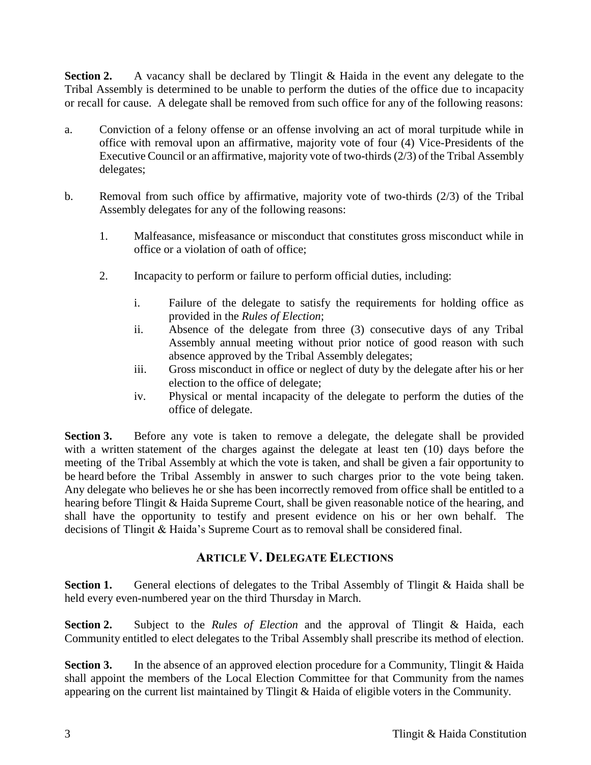**Section 2.** A vacancy shall be declared by Tlingit & Haida in the event any delegate to the Tribal Assembly is determined to be unable to perform the duties of the office due to incapacity or recall for cause. A delegate shall be removed from such office for any of the following reasons:

- a. Conviction of a felony offense or an offense involving an act of moral turpitude while in office with removal upon an affirmative, majority vote of four (4) Vice-Presidents of the Executive Council or an affirmative, majority vote of two-thirds (2/3) of the Tribal Assembly delegates;
- b. Removal from such office by affirmative, majority vote of two-thirds (2/3) of the Tribal Assembly delegates for any of the following reasons:
	- 1. Malfeasance, misfeasance or misconduct that constitutes gross misconduct while in office or a violation of oath of office;
	- 2. Incapacity to perform or failure to perform official duties, including:
		- i. Failure of the delegate to satisfy the requirements for holding office as provided in the *Rules of Election*;
		- ii. Absence of the delegate from three (3) consecutive days of any Tribal Assembly annual meeting without prior notice of good reason with such absence approved by the Tribal Assembly delegates;
		- iii. Gross misconduct in office or neglect of duty by the delegate after his or her election to the office of delegate;
		- iv. Physical or mental incapacity of the delegate to perform the duties of the office of delegate.

**Section 3.** Before any vote is taken to remove a delegate, the delegate shall be provided with a written statement of the charges against the delegate at least ten (10) days before the meeting of the Tribal Assembly at which the vote is taken, and shall be given a fair opportunity to be heard before the Tribal Assembly in answer to such charges prior to the vote being taken. Any delegate who believes he or she has been incorrectly removed from office shall be entitled to a hearing before Tlingit & Haida Supreme Court, shall be given reasonable notice of the hearing, and shall have the opportunity to testify and present evidence on his or her own behalf. The decisions of Tlingit & Haida's Supreme Court as to removal shall be considered final.

# **ARTICLE V. DELEGATE ELECTIONS**

**Section 1.** General elections of delegates to the Tribal Assembly of Tlingit & Haida shall be held every even-numbered year on the third Thursday in March.

**Section 2.** Subject to the *Rules of Election* and the approval of Tlingit & Haida, each Community entitled to elect delegates to the Tribal Assembly shall prescribe its method of election.

**Section 3.** In the absence of an approved election procedure for a Community, Tlingit & Haida shall appoint the members of the Local Election Committee for that Community from the names appearing on the current list maintained by Tlingit & Haida of eligible voters in the Community.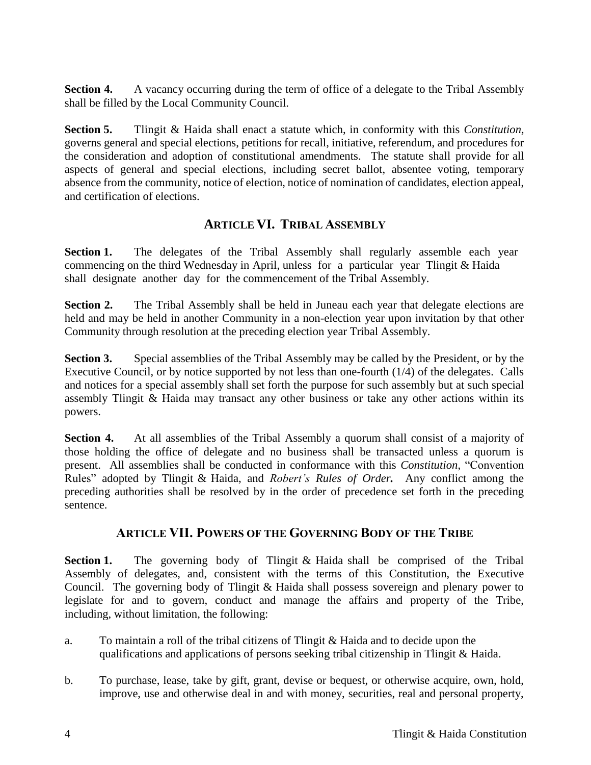**Section 4.** A vacancy occurring during the term of office of a delegate to the Tribal Assembly shall be filled by the Local Community Council.

**Section 5.** Tlingit & Haida shall enact a statute which, in conformity with this *Constitution,*  governs general and special elections, petitions for recall, initiative, referendum, and procedures for the consideration and adoption of constitutional amendments. The statute shall provide for all aspects of general and special elections, including secret ballot, absentee voting, temporary absence from the community, notice of election, notice of nomination of candidates, election appeal, and certification of elections.

### **ARTICLE VI. TRIBAL ASSEMBLY**

**Section 1.** The delegates of the Tribal Assembly shall regularly assemble each year commencing on the third Wednesday in April, unless for a particular year Tlingit & Haida shall designate another day for the commencement of the Tribal Assembly.

**Section 2.** The Tribal Assembly shall be held in Juneau each year that delegate elections are held and may be held in another Community in a non-election year upon invitation by that other Community through resolution at the preceding election year Tribal Assembly.

**Section 3.** Special assemblies of the Tribal Assembly may be called by the President, or by the Executive Council, or by notice supported by not less than one-fourth (1/4) of the delegates. Calls and notices for a special assembly shall set forth the purpose for such assembly but at such special assembly Tlingit & Haida may transact any other business or take any other actions within its powers.

**Section 4.** At all assemblies of the Tribal Assembly a quorum shall consist of a majority of those holding the office of delegate and no business shall be transacted unless a quorum is present. All assemblies shall be conducted in conformance with this *Constitution*, "Convention Rules" adopted by Tlingit & Haida, and *Robert's Rules of Order.* Any conflict among the preceding authorities shall be resolved by in the order of precedence set forth in the preceding sentence.

### **ARTICLE VII. POWERS OF THE GOVERNING BODY OF THE TRIBE**

**Section 1.** The governing body of Tlingit & Haida shall be comprised of the Tribal Assembly of delegates, and, consistent with the terms of this Constitution, the Executive Council. The governing body of Tlingit & Haida shall possess sovereign and plenary power to legislate for and to govern, conduct and manage the affairs and property of the Tribe, including, without limitation, the following:

- a. To maintain a roll of the tribal citizens of Tlingit & Haida and to decide upon the qualifications and applications of persons seeking tribal citizenship in Tlingit & Haida.
- b. To purchase, lease, take by gift, grant, devise or bequest, or otherwise acquire, own, hold, improve, use and otherwise deal in and with money, securities, real and personal property,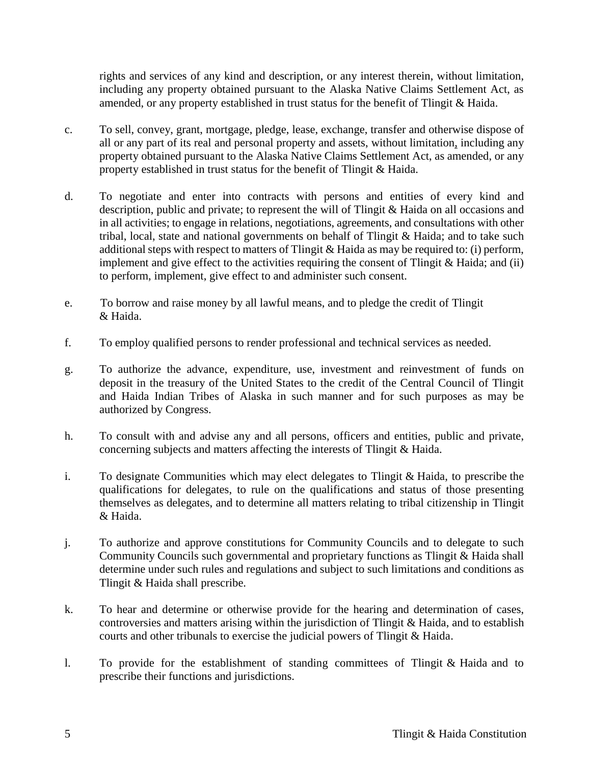rights and services of any kind and description, or any interest therein, without limitation, including any property obtained pursuant to the Alaska Native Claims Settlement Act, as amended, or any property established in trust status for the benefit of Tlingit & Haida.

- c. To sell, convey, grant, mortgage, pledge, lease, exchange, transfer and otherwise dispose of all or any part of its real and personal property and assets, without limitation, including any property obtained pursuant to the Alaska Native Claims Settlement Act, as amended, or any property established in trust status for the benefit of Tlingit & Haida.
- d. To negotiate and enter into contracts with persons and entities of every kind and description, public and private; to represent the will of Tlingit & Haida on all occasions and in all activities; to engage in relations, negotiations, agreements, and consultations with other tribal, local, state and national governments on behalf of Tlingit & Haida; and to take such additional steps with respect to matters of Tlingit & Haida as may be required to: (i) perform, implement and give effect to the activities requiring the consent of Tlingit  $\&$  Haida; and (ii) to perform, implement, give effect to and administer such consent.
- e. To borrow and raise money by all lawful means, and to pledge the credit of Tlingit & Haida.
- f. To employ qualified persons to render professional and technical services as needed.
- g. To authorize the advance, expenditure, use, investment and reinvestment of funds on deposit in the treasury of the United States to the credit of the Central Council of Tlingit and Haida Indian Tribes of Alaska in such manner and for such purposes as may be authorized by Congress.
- h. To consult with and advise any and all persons, officers and entities, public and private, concerning subjects and matters affecting the interests of Tlingit & Haida.
- i. To designate Communities which may elect delegates to Tlingit & Haida, to prescribe the qualifications for delegates, to rule on the qualifications and status of those presenting themselves as delegates, and to determine all matters relating to tribal citizenship in Tlingit & Haida.
- j. To authorize and approve constitutions for Community Councils and to delegate to such Community Councils such governmental and proprietary functions as Tlingit & Haida shall determine under such rules and regulations and subject to such limitations and conditions as Tlingit & Haida shall prescribe.
- k. To hear and determine or otherwise provide for the hearing and determination of cases, controversies and matters arising within the jurisdiction of Tlingit & Haida, and to establish courts and other tribunals to exercise the judicial powers of Tlingit & Haida.
- l. To provide for the establishment of standing committees of Tlingit & Haida and to prescribe their functions and jurisdictions.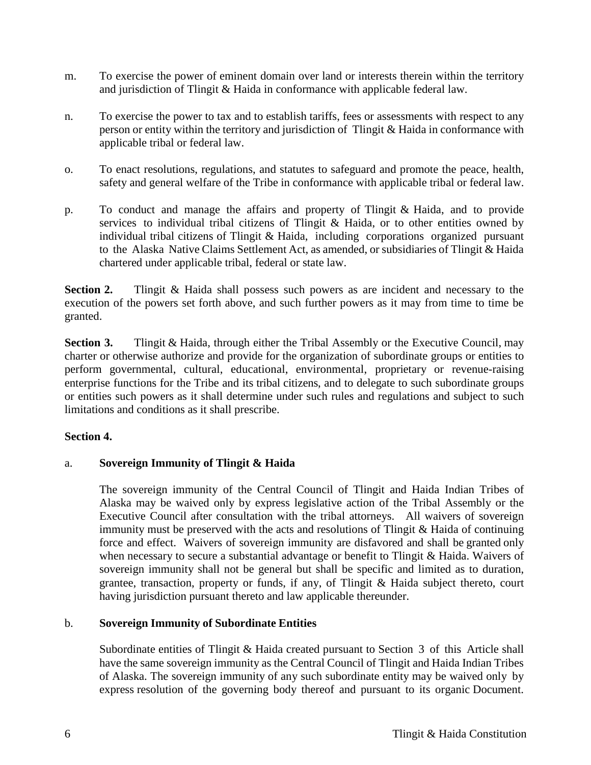- m. To exercise the power of eminent domain over land or interests therein within the territory and jurisdiction of Tlingit & Haida in conformance with applicable federal law.
- n. To exercise the power to tax and to establish tariffs, fees or assessments with respect to any person or entity within the territory and jurisdiction of Tlingit & Haida in conformance with applicable tribal or federal law.
- o. To enact resolutions, regulations, and statutes to safeguard and promote the peace, health, safety and general welfare of the Tribe in conformance with applicable tribal or federal law.
- p. To conduct and manage the affairs and property of Tlingit & Haida, and to provide services to individual tribal citizens of Tlingit & Haida, or to other entities owned by individual tribal citizens of Tlingit & Haida, including corporations organized pursuant to the Alaska Native Claims Settlement Act, as amended, or subsidiaries of Tlingit & Haida chartered under applicable tribal, federal or state law.

**Section 2.** Tlingit & Haida shall possess such powers as are incident and necessary to the execution of the powers set forth above, and such further powers as it may from time to time be granted.

**Section 3.** Tlingit & Haida, through either the Tribal Assembly or the Executive Council, may charter or otherwise authorize and provide for the organization of subordinate groups or entities to perform governmental, cultural, educational, environmental, proprietary or revenue-raising enterprise functions for the Tribe and its tribal citizens, and to delegate to such subordinate groups or entities such powers as it shall determine under such rules and regulations and subject to such limitations and conditions as it shall prescribe.

#### **Section 4.**

#### a. **Sovereign Immunity of Tlingit & Haida**

The sovereign immunity of the Central Council of Tlingit and Haida Indian Tribes of Alaska may be waived only by express legislative action of the Tribal Assembly or the Executive Council after consultation with the tribal attorneys. All waivers of sovereign immunity must be preserved with the acts and resolutions of Tlingit & Haida of continuing force and effect. Waivers of sovereign immunity are disfavored and shall be granted only when necessary to secure a substantial advantage or benefit to Tlingit & Haida. Waivers of sovereign immunity shall not be general but shall be specific and limited as to duration, grantee, transaction, property or funds, if any, of Tlingit & Haida subject thereto, court having jurisdiction pursuant thereto and law applicable thereunder.

#### b. **Sovereign Immunity of Subordinate Entities**

Subordinate entities of Tlingit & Haida created pursuant to Section 3 of this Article shall have the same sovereign immunity as the Central Council of Tlingit and Haida Indian Tribes of Alaska. The sovereign immunity of any such subordinate entity may be waived only by express resolution of the governing body thereof and pursuant to its organic Document.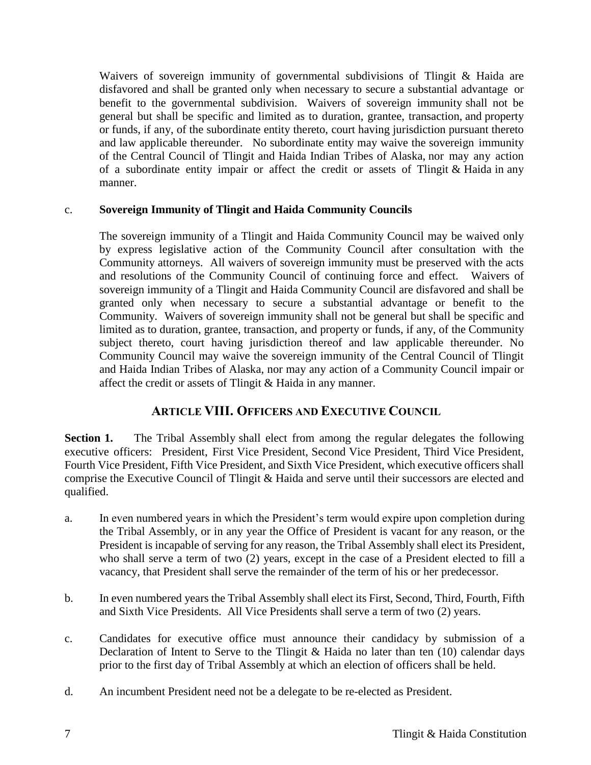Waivers of sovereign immunity of governmental subdivisions of Tlingit & Haida are disfavored and shall be granted only when necessary to secure a substantial advantage or benefit to the governmental subdivision. Waivers of sovereign immunity shall not be general but shall be specific and limited as to duration, grantee, transaction, and property or funds, if any, of the subordinate entity thereto, court having jurisdiction pursuant thereto and law applicable thereunder. No subordinate entity may waive the sovereign immunity of the Central Council of Tlingit and Haida Indian Tribes of Alaska, nor may any action of a subordinate entity impair or affect the credit or assets of Tlingit  $&$  Haida in any manner.

### c. **Sovereign Immunity of Tlingit and Haida Community Councils**

The sovereign immunity of a Tlingit and Haida Community Council may be waived only by express legislative action of the Community Council after consultation with the Community attorneys. All waivers of sovereign immunity must be preserved with the acts and resolutions of the Community Council of continuing force and effect. Waivers of sovereign immunity of a Tlingit and Haida Community Council are disfavored and shall be granted only when necessary to secure a substantial advantage or benefit to the Community. Waivers of sovereign immunity shall not be general but shall be specific and limited as to duration, grantee, transaction, and property or funds, if any, of the Community subject thereto, court having jurisdiction thereof and law applicable thereunder. No Community Council may waive the sovereign immunity of the Central Council of Tlingit and Haida Indian Tribes of Alaska, nor may any action of a Community Council impair or affect the credit or assets of Tlingit & Haida in any manner.

# **ARTICLE VIII. OFFICERS AND EXECUTIVE COUNCIL**

**Section 1.** The Tribal Assembly shall elect from among the regular delegates the following executive officers: President, First Vice President, Second Vice President, Third Vice President, Fourth Vice President, Fifth Vice President, and Sixth Vice President, which executive officers shall comprise the Executive Council of Tlingit & Haida and serve until their successors are elected and qualified.

- a. In even numbered years in which the President's term would expire upon completion during the Tribal Assembly, or in any year the Office of President is vacant for any reason, or the President is incapable of serving for any reason, the Tribal Assembly shall elect its President, who shall serve a term of two (2) years, except in the case of a President elected to fill a vacancy, that President shall serve the remainder of the term of his or her predecessor.
- b. In even numbered years the Tribal Assembly shall elect its First, Second, Third, Fourth, Fifth and Sixth Vice Presidents. All Vice Presidents shall serve a term of two (2) years.
- c. Candidates for executive office must announce their candidacy by submission of a Declaration of Intent to Serve to the Tlingit & Haida no later than ten (10) calendar days prior to the first day of Tribal Assembly at which an election of officers shall be held.
- d. An incumbent President need not be a delegate to be re-elected as President.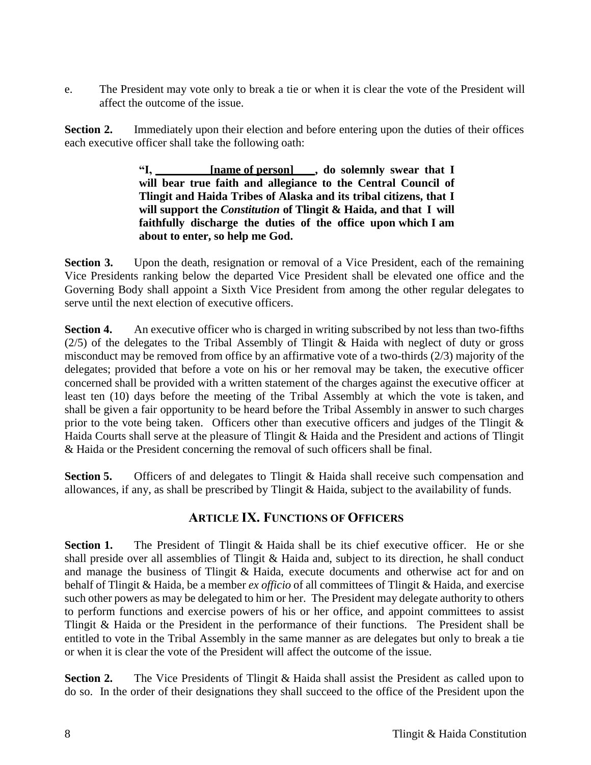e. The President may vote only to break a tie or when it is clear the vote of the President will affect the outcome of the issue.

**Section 2.** Immediately upon their election and before entering upon the duties of their offices each executive officer shall take the following oath:

> **"I, [name of person] , do solemnly swear that I will bear true faith and allegiance to the Central Council of Tlingit and Haida Tribes of Alaska and its tribal citizens, that I will support the** *Constitution* **of Tlingit & Haida, and that I will faithfully discharge the duties of the office upon which I am about to enter, so help me God.**

**Section 3.** Upon the death, resignation or removal of a Vice President, each of the remaining Vice Presidents ranking below the departed Vice President shall be elevated one office and the Governing Body shall appoint a Sixth Vice President from among the other regular delegates to serve until the next election of executive officers.

**Section 4.** An executive officer who is charged in writing subscribed by not less than two-fifths  $(2/5)$  of the delegates to the Tribal Assembly of Tlingit & Haida with neglect of duty or gross misconduct may be removed from office by an affirmative vote of a two-thirds (2/3) majority of the delegates; provided that before a vote on his or her removal may be taken, the executive officer concerned shall be provided with a written statement of the charges against the executive officer at least ten (10) days before the meeting of the Tribal Assembly at which the vote is taken, and shall be given a fair opportunity to be heard before the Tribal Assembly in answer to such charges prior to the vote being taken. Officers other than executive officers and judges of the Tlingit  $\&$ Haida Courts shall serve at the pleasure of Tlingit & Haida and the President and actions of Tlingit & Haida or the President concerning the removal of such officers shall be final.

**Section 5.** Officers of and delegates to Tlingit & Haida shall receive such compensation and allowances, if any, as shall be prescribed by Tlingit & Haida, subject to the availability of funds.

### **ARTICLE IX. FUNCTIONS OF OFFICERS**

**Section 1.** The President of Tlingit & Haida shall be its chief executive officer. He or she shall preside over all assemblies of Tlingit & Haida and, subject to its direction, he shall conduct and manage the business of Tlingit & Haida, execute documents and otherwise act for and on behalf of Tlingit & Haida, be a member *ex officio* of all committees of Tlingit & Haida, and exercise such other powers as may be delegated to him or her. The President may delegate authority to others to perform functions and exercise powers of his or her office, and appoint committees to assist Tlingit & Haida or the President in the performance of their functions. The President shall be entitled to vote in the Tribal Assembly in the same manner as are delegates but only to break a tie or when it is clear the vote of the President will affect the outcome of the issue.

**Section 2.** The Vice Presidents of Tlingit & Haida shall assist the President as called upon to do so. In the order of their designations they shall succeed to the office of the President upon the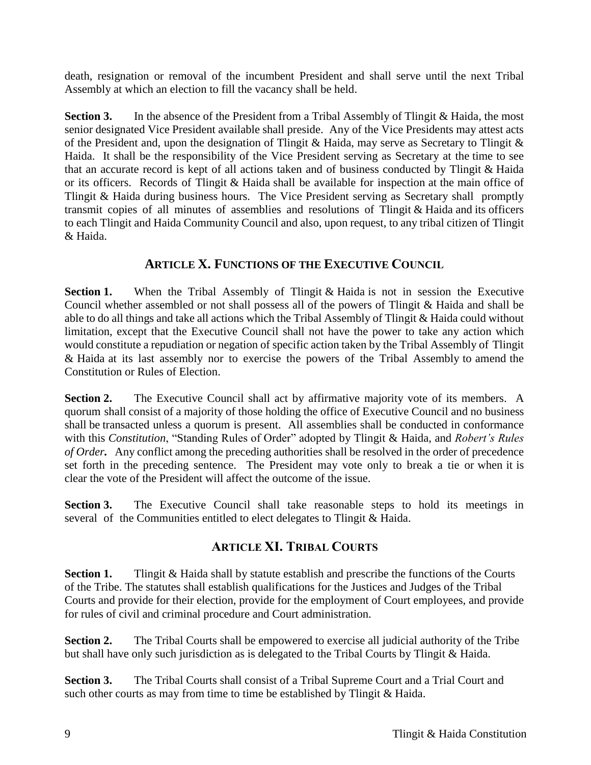death, resignation or removal of the incumbent President and shall serve until the next Tribal Assembly at which an election to fill the vacancy shall be held.

**Section 3.** In the absence of the President from a Tribal Assembly of Tlingit & Haida, the most senior designated Vice President available shall preside. Any of the Vice Presidents may attest acts of the President and, upon the designation of Tlingit & Haida, may serve as Secretary to Tlingit & Haida. It shall be the responsibility of the Vice President serving as Secretary at the time to see that an accurate record is kept of all actions taken and of business conducted by Tlingit & Haida or its officers. Records of Tlingit & Haida shall be available for inspection at the main office of Tlingit & Haida during business hours. The Vice President serving as Secretary shall promptly transmit copies of all minutes of assemblies and resolutions of Tlingit & Haida and its officers to each Tlingit and Haida Community Council and also, upon request, to any tribal citizen of Tlingit & Haida.

# **ARTICLE X. FUNCTIONS OF THE EXECUTIVE COUNCIL**

**Section 1.** When the Tribal Assembly of Tlingit & Haida is not in session the Executive Council whether assembled or not shall possess all of the powers of Tlingit & Haida and shall be able to do all things and take all actions which the Tribal Assembly of Tlingit & Haida could without limitation, except that the Executive Council shall not have the power to take any action which would constitute a repudiation or negation of specific action taken by the Tribal Assembly of Tlingit & Haida at its last assembly nor to exercise the powers of the Tribal Assembly to amend the Constitution or Rules of Election.

**Section 2.** The Executive Council shall act by affirmative majority vote of its members. A quorum shall consist of a majority of those holding the office of Executive Council and no business shall be transacted unless a quorum is present. All assemblies shall be conducted in conformance with this *Constitution*, "Standing Rules of Order" adopted by Tlingit & Haida, and *Robert's Rules of Order.* Any conflict among the preceding authorities shall be resolved in the order of precedence set forth in the preceding sentence. The President may vote only to break a tie or when it is clear the vote of the President will affect the outcome of the issue.

**Section 3.** The Executive Council shall take reasonable steps to hold its meetings in several of the Communities entitled to elect delegates to Tlingit & Haida.

# **ARTICLE XI. TRIBAL COURTS**

**Section 1.** Tlingit & Haida shall by statute establish and prescribe the functions of the Courts of the Tribe. The statutes shall establish qualifications for the Justices and Judges of the Tribal Courts and provide for their election, provide for the employment of Court employees, and provide for rules of civil and criminal procedure and Court administration.

**Section 2.** The Tribal Courts shall be empowered to exercise all judicial authority of the Tribe but shall have only such jurisdiction as is delegated to the Tribal Courts by Tlingit & Haida.

**Section 3.** The Tribal Courts shall consist of a Tribal Supreme Court and a Trial Court and such other courts as may from time to time be established by Tlingit & Haida.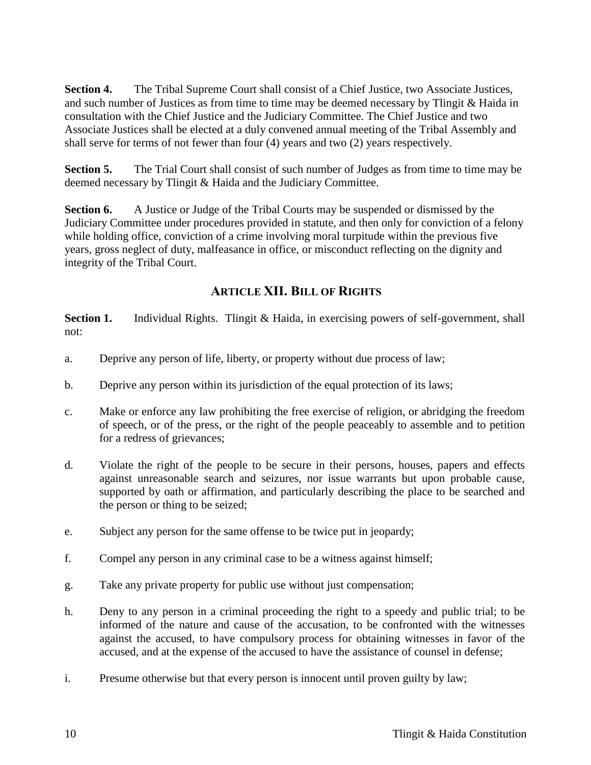**Section 4.** The Tribal Supreme Court shall consist of a Chief Justice, two Associate Justices, and such number of Justices as from time to time may be deemed necessary by Tlingit & Haida in consultation with the Chief Justice and the Judiciary Committee. The Chief Justice and two Associate Justices shall be elected at a duly convened annual meeting of the Tribal Assembly and shall serve for terms of not fewer than four (4) years and two (2) years respectively.

**Section 5.** The Trial Court shall consist of such number of Judges as from time to time may be deemed necessary by Tlingit & Haida and the Judiciary Committee.

**Section 6.** A Justice or Judge of the Tribal Courts may be suspended or dismissed by the Judiciary Committee under procedures provided in statute, and then only for conviction of a felony while holding office, conviction of a crime involving moral turpitude within the previous five years, gross neglect of duty, malfeasance in office, or misconduct reflecting on the dignity and integrity of the Tribal Court.

# **ARTICLE XII. BILL OF RIGHTS**

**Section 1.** Individual Rights. Tlingit & Haida, in exercising powers of self-government, shall not:

- a. Deprive any person of life, liberty, or property without due process of law;
- b. Deprive any person within its jurisdiction of the equal protection of its laws;
- c. Make or enforce any law prohibiting the free exercise of religion, or abridging the freedom of speech, or of the press, or the right of the people peaceably to assemble and to petition for a redress of grievances;
- d. Violate the right of the people to be secure in their persons, houses, papers and effects against unreasonable search and seizures, nor issue warrants but upon probable cause, supported by oath or affirmation, and particularly describing the place to be searched and the person or thing to be seized;
- e. Subject any person for the same offense to be twice put in jeopardy;
- f. Compel any person in any criminal case to be a witness against himself;
- g. Take any private property for public use without just compensation;
- h. Deny to any person in a criminal proceeding the right to a speedy and public trial; to be informed of the nature and cause of the accusation, to be confronted with the witnesses against the accused, to have compulsory process for obtaining witnesses in favor of the accused, and at the expense of the accused to have the assistance of counsel in defense;
- i. Presume otherwise but that every person is innocent until proven guilty by law;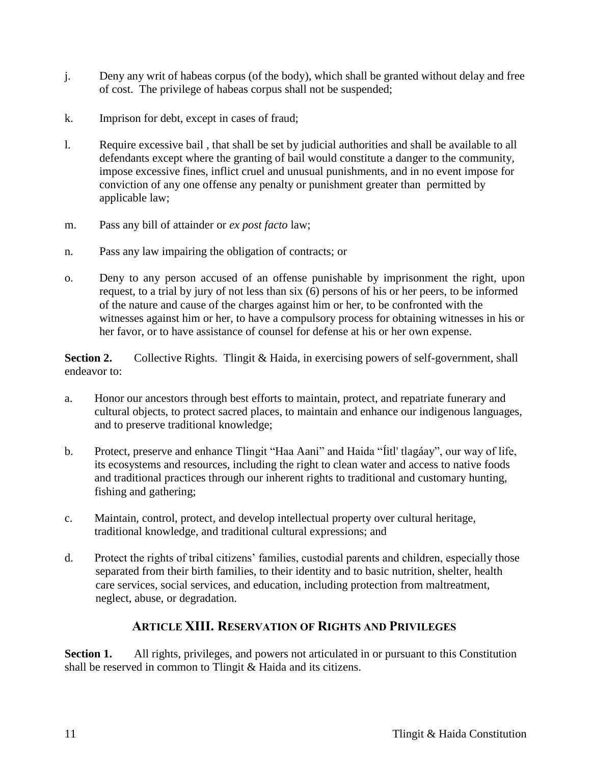- j. Deny any writ of habeas corpus (of the body), which shall be granted without delay and free of cost. The privilege of habeas corpus shall not be suspended;
- k. Imprison for debt, except in cases of fraud;
- l. Require excessive bail , that shall be set by judicial authorities and shall be available to all defendants except where the granting of bail would constitute a danger to the community, impose excessive fines, inflict cruel and unusual punishments, and in no event impose for conviction of any one offense any penalty or punishment greater than permitted by applicable law;
- m. Pass any bill of attainder or *ex post facto* law;
- n. Pass any law impairing the obligation of contracts; or
- o. Deny to any person accused of an offense punishable by imprisonment the right, upon request, to a trial by jury of not less than six (6) persons of his or her peers, to be informed of the nature and cause of the charges against him or her, to be confronted with the witnesses against him or her, to have a compulsory process for obtaining witnesses in his or her favor, or to have assistance of counsel for defense at his or her own expense.

**Section 2.** Collective Rights. Tlingit & Haida, in exercising powers of self-government, shall endeavor to:

- a. Honor our ancestors through best efforts to maintain, protect, and repatriate funerary and cultural objects, to protect sacred places, to maintain and enhance our indigenous languages, and to preserve traditional knowledge;
- b. Protect, preserve and enhance Tlingit "Haa Aani" and Haida "Íitl' tlagáay", our way of life, its ecosystems and resources, including the right to clean water and access to native foods and traditional practices through our inherent rights to traditional and customary hunting, fishing and gathering;
- c. Maintain, control, protect, and develop intellectual property over cultural heritage, traditional knowledge, and traditional cultural expressions; and
- d. Protect the rights of tribal citizens' families, custodial parents and children, especially those separated from their birth families, to their identity and to basic nutrition, shelter, health care services, social services, and education, including protection from maltreatment, neglect, abuse, or degradation.

# **ARTICLE XIII. RESERVATION OF RIGHTS AND PRIVILEGES**

**Section 1.** All rights, privileges, and powers not articulated in or pursuant to this Constitution shall be reserved in common to Tlingit & Haida and its citizens.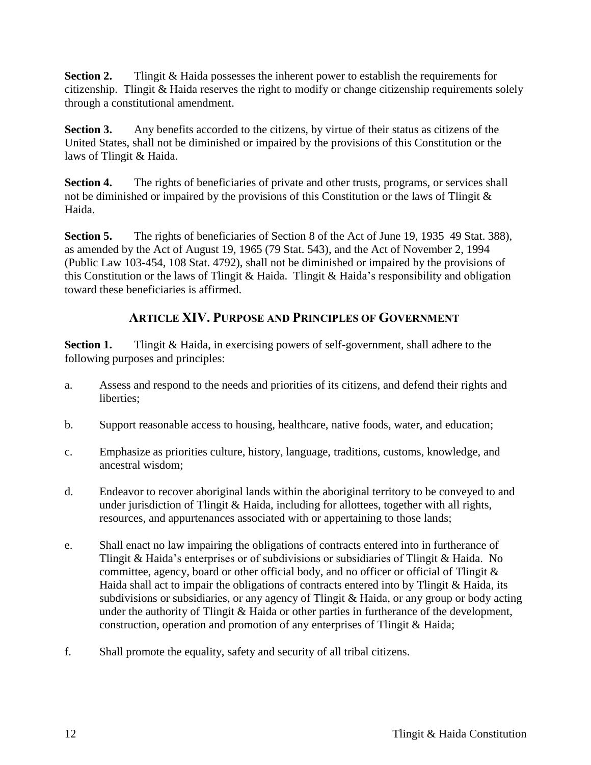**Section 2.** Tlingit & Haida possesses the inherent power to establish the requirements for citizenship. Tlingit & Haida reserves the right to modify or change citizenship requirements solely through a constitutional amendment.

**Section 3.** Any benefits accorded to the citizens, by virtue of their status as citizens of the United States, shall not be diminished or impaired by the provisions of this Constitution or the laws of Tlingit & Haida.

**Section 4.** The rights of beneficiaries of private and other trusts, programs, or services shall not be diminished or impaired by the provisions of this Constitution or the laws of Tlingit  $\&$ Haida.

Section 5. The rights of beneficiaries of Section 8 of the Act of June 19, 1935 49 Stat. 388), as amended by the Act of August 19, 1965 (79 Stat. 543), and the Act of November 2, 1994 (Public Law 103-454, 108 Stat. 4792), shall not be diminished or impaired by the provisions of this Constitution or the laws of Tlingit & Haida. Tlingit & Haida's responsibility and obligation toward these beneficiaries is affirmed.

# **ARTICLE XIV. PURPOSE AND PRINCIPLES OF GOVERNMENT**

**Section 1.** Tlingit & Haida, in exercising powers of self-government, shall adhere to the following purposes and principles:

- a. Assess and respond to the needs and priorities of its citizens, and defend their rights and liberties;
- b. Support reasonable access to housing, healthcare, native foods, water, and education;
- c. Emphasize as priorities culture, history, language, traditions, customs, knowledge, and ancestral wisdom;
- d. Endeavor to recover aboriginal lands within the aboriginal territory to be conveyed to and under jurisdiction of Tlingit & Haida, including for allottees, together with all rights, resources, and appurtenances associated with or appertaining to those lands;
- e. Shall enact no law impairing the obligations of contracts entered into in furtherance of Tlingit & Haida's enterprises or of subdivisions or subsidiaries of Tlingit & Haida. No committee, agency, board or other official body, and no officer or official of Tlingit  $\&$ Haida shall act to impair the obligations of contracts entered into by Tlingit & Haida, its subdivisions or subsidiaries, or any agency of Tlingit & Haida, or any group or body acting under the authority of Tlingit & Haida or other parties in furtherance of the development, construction, operation and promotion of any enterprises of Tlingit & Haida;
- f. Shall promote the equality, safety and security of all tribal citizens.